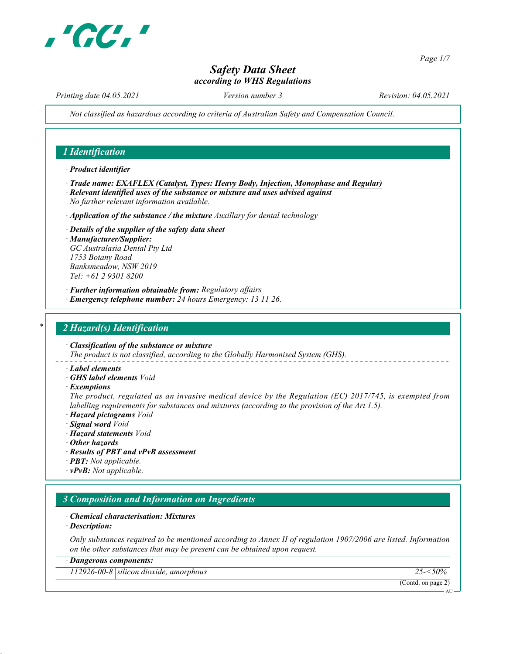

Page 1/7

AU

# Safety Data Sheet according to WHS Regulations

Printing date 04.05.2021 Version number 3 Revision: 04.05.2021

Not classified as hazardous according to criteria of Australian Safety and Compensation Council.

## 1 Identification

· Product identifier

- · Trade name: EXAFLEX (Catalyst, Types: Heavy Body, Injection, Monophase and Regular) · Relevant identified uses of the substance or mixture and uses advised against
- No further relevant information available.
- $\cdot$  Application of the substance / the mixture Auxillary for dental technology
- · Details of the supplier of the safety data sheet · Manufacturer/Supplier: GC Australasia Dental Pty Ltd 1753 Botany Road Banksmeadow, NSW 2019 Tel: +61 2 9301 8200
- · Further information obtainable from: Regulatory affairs
- · Emergency telephone number: 24 hours Emergency: 13 11 26.

#### 2 Hazard(s) Identification

· Classification of the substance or mixture The product is not classified, according to the Globally Harmonised System (GHS).

- · Label elements
- · GHS label elements Void
- · Exemptions

The product, regulated as an invasive medical device by the Regulation (EC) 2017/745, is exempted from labelling requirements for substances and mixtures (according to the provision of the Art 1.5).

- · Hazard pictograms Void
- · Signal word Void
- · Hazard statements Void
- · Other hazards
- · Results of PBT and vPvB assessment
- · PBT: Not applicable.
- $\cdot$  **vPvB:** Not applicable.

# 3 Composition and Information on Ingredients

- · Chemical characterisation: Mixtures
- · Description:

Only substances required to be mentioned according to Annex II of regulation 1907/2006 are listed. Information on the other substances that may be present can be obtained upon request.

| · Dangerous components:                  |                    |  |  |  |
|------------------------------------------|--------------------|--|--|--|
| 112926-00-8   silicon dioxide, amorphous | 50%                |  |  |  |
|                                          | (Contd. on page 2) |  |  |  |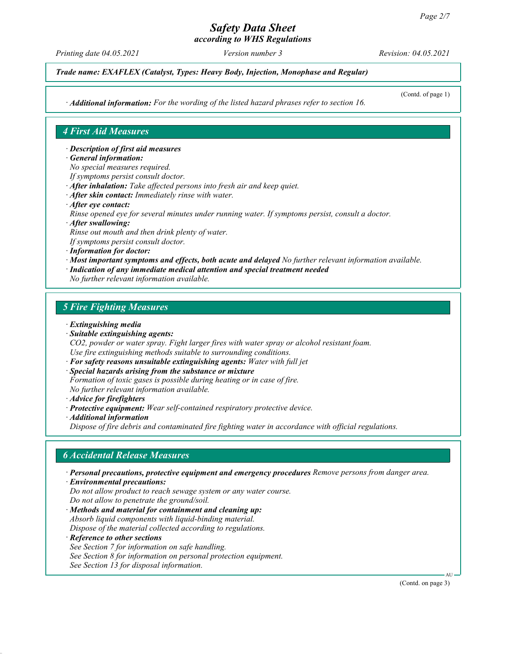according to WHS Regulations

Printing date 04.05.2021 Version number 3 Revision: 04.05.2021

Trade name: EXAFLEX (Catalyst, Types: Heavy Body, Injection, Monophase and Regular)

· Additional information: For the wording of the listed hazard phrases refer to section 16.

(Contd. of page 1)

# 4 First Aid Measures

· Description of first aid measures

- · General information:
- No special measures required.
- If symptoms persist consult doctor.
- · After inhalation: Take affected persons into fresh air and keep quiet.
- · After skin contact: Immediately rinse with water.
- · After eye contact:
- Rinse opened eye for several minutes under running water. If symptoms persist, consult a doctor.
- · After swallowing:

Rinse out mouth and then drink plenty of water.

- If symptoms persist consult doctor.
- · Information for doctor:
- · Most important symptoms and effects, both acute and delayed No further relevant information available.
- · Indication of any immediate medical attention and special treatment needed
- No further relevant information available.

#### 5 Fire Fighting Measures

- · Extinguishing media
- · Suitable extinguishing agents:

CO2, powder or water spray. Fight larger fires with water spray or alcohol resistant foam. Use fire extinguishing methods suitable to surrounding conditions.

- · For safety reasons unsuitable extinguishing agents: Water with full jet
- · Special hazards arising from the substance or mixture
- Formation of toxic gases is possible during heating or in case of fire.

No further relevant information available.

- · Advice for firefighters
- · Protective equipment: Wear self-contained respiratory protective device.
- · Additional information

Dispose of fire debris and contaminated fire fighting water in accordance with official regulations.

## 6 Accidental Release Measures

· Personal precautions, protective equipment and emergency procedures Remove persons from danger area.

· Environmental precautions:

Do not allow product to reach sewage system or any water course. Do not allow to penetrate the ground/soil.

· Methods and material for containment and cleaning up: Absorb liquid components with liquid-binding material. Dispose of the material collected according to regulations.

· Reference to other sections

- See Section 7 for information on safe handling.
- See Section 8 for information on personal protection equipment.

See Section 13 for disposal information.

AU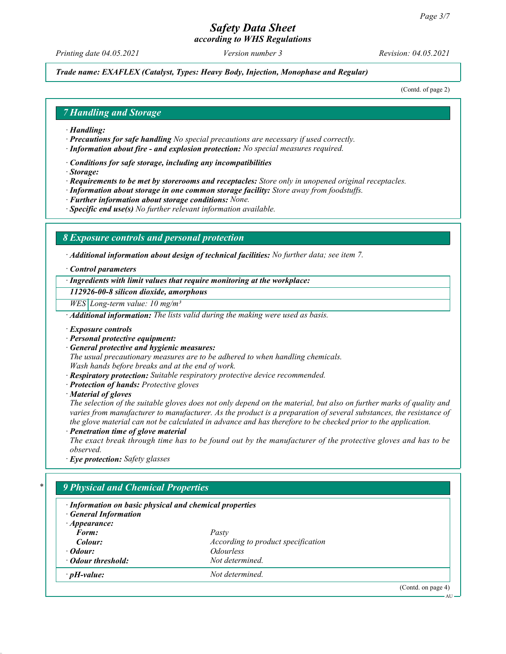according to WHS Regulations

Printing date 04.05.2021 Version number 3 Revision: 04.05.2021

Trade name: EXAFLEX (Catalyst, Types: Heavy Body, Injection, Monophase and Regular)

(Contd. of page 2)

## 7 Handling and Storage

- · Handling:
- $\cdot$  **Precautions for safe handling** No special precautions are necessary if used correctly.
- · Information about fire and explosion protection: No special measures required.
- · Conditions for safe storage, including any incompatibilities
- · Storage:
- · Requirements to be met by storerooms and receptacles: Store only in unopened original receptacles.
- · Information about storage in one common storage facility: Store away from foodstuffs.
- · Further information about storage conditions: None.
- $\cdot$  Specific end use(s) No further relevant information available.

#### 8 Exposure controls and personal protection

· Additional information about design of technical facilities: No further data; see item 7.

· Control parameters

· Ingredients with limit values that require monitoring at the workplace:

112926-00-8 silicon dioxide, amorphous

 $WES|Long-term value: 10 mg/m<sup>3</sup>$ 

· Additional information: The lists valid during the making were used as basis.

- · Exposure controls
- · Personal protective equipment:
- General protective and hygienic measures:

The usual precautionary measures are to be adhered to when handling chemicals. Wash hands before breaks and at the end of work.

- · Respiratory protection: Suitable respiratory protective device recommended.
- · Protection of hands: Protective gloves
- · Material of gloves

The selection of the suitable gloves does not only depend on the material, but also on further marks of quality and varies from manufacturer to manufacturer. As the product is a preparation of several substances, the resistance of the glove material can not be calculated in advance and has therefore to be checked prior to the application.

Penetration time of glove material

The exact break through time has to be found out by the manufacturer of the protective gloves and has to be observed.

· Eye protection: Safety glasses

# 9 Physical and Chemical Properties · Information on basic physical and chemical properties · General Information · Appearance: Form: Pasty **Colour:** According to product specification · **Odour:** Odourless **Odour threshold:** Not determined.  $\cdot$  pH-value:  $N$ ot determined. (Contd. on page 4) **AU**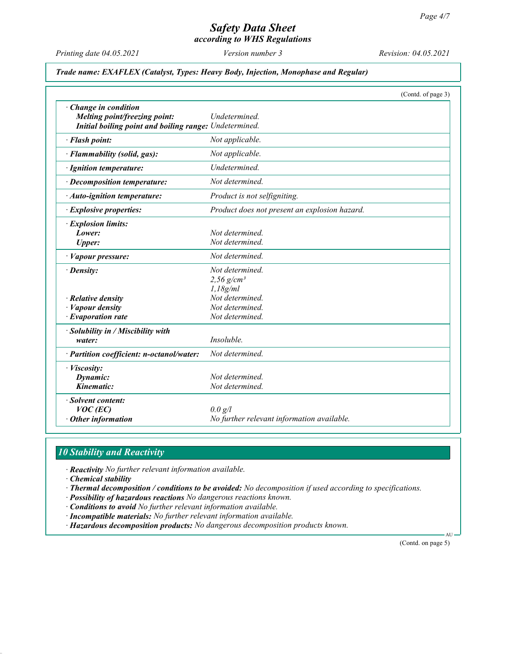according to WHS Regulations

Printing date 04.05.2021 Version number 3 Revision: 04.05.2021

#### Trade name: EXAFLEX (Catalyst, Types: Heavy Body, Injection, Monophase and Regular)

|                                                                                                                  | (Contd. of page 3)                                      |  |  |
|------------------------------------------------------------------------------------------------------------------|---------------------------------------------------------|--|--|
| · Change in condition<br>Melting point/freezing point:<br>Initial boiling point and boiling range: Undetermined. | Undetermined.                                           |  |  |
| · Flash point:                                                                                                   | Not applicable.                                         |  |  |
| · Flammability (solid, gas):                                                                                     | Not applicable.                                         |  |  |
| · Ignition temperature:                                                                                          | Undetermined.                                           |  |  |
| · Decomposition temperature:                                                                                     | Not determined.                                         |  |  |
| · Auto-ignition temperature:                                                                                     | Product is not selfigniting.                            |  |  |
| · Explosive properties:                                                                                          | Product does not present an explosion hazard.           |  |  |
| · Explosion limits:<br>Lower:<br><b>Upper:</b>                                                                   | Not determined.<br>Not determined.                      |  |  |
| · Vapour pressure:                                                                                               | Not determined.                                         |  |  |
| · Density:                                                                                                       | Not determined.<br>$2,56$ g/cm <sup>3</sup><br>1.18g/ml |  |  |
| $\cdot$ Relative density                                                                                         | Not determined.                                         |  |  |
| $\cdot$ <i>Vapour density</i>                                                                                    | Not determined.                                         |  |  |
| $\cdot$ Evaporation rate                                                                                         | Not determined.                                         |  |  |
| · Solubility in / Miscibility with<br>water:                                                                     | Insoluble.                                              |  |  |
| · Partition coefficient: n-octanol/water:                                                                        | Not determined.                                         |  |  |
| · Viscosity:<br>Dynamic:<br>Kinematic:                                                                           | Not determined.<br>Not determined.                      |  |  |
| · Solvent content:<br>$VOC$ (EC)<br>$\cdot$ Other information                                                    | 0.0 g/l<br>No further relevant information available.   |  |  |

### 10 Stability and Reactivity

· Reactivity No further relevant information available.

· Chemical stability

- · Thermal decomposition / conditions to be avoided: No decomposition if used according to specifications.
- · Possibility of hazardous reactions No dangerous reactions known.
- · Conditions to avoid No further relevant information available.
- · Incompatible materials: No further relevant information available.
- · Hazardous decomposition products: No dangerous decomposition products known.

(Contd. on page 5)

 $\Delta$ I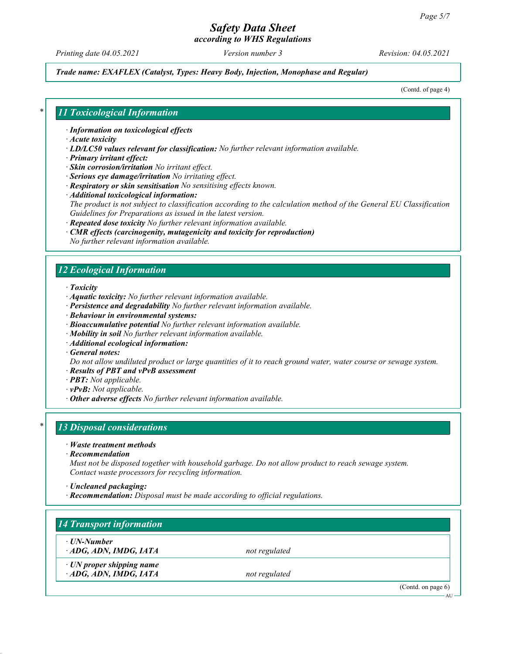according to WHS Regulations

Printing date 04.05.2021 Version number 3 Revision: 04.05.2021

#### Trade name: EXAFLEX (Catalyst, Types: Heavy Body, Injection, Monophase and Regular)

(Contd. of page 4)

### 11 Toxicological Information

· Information on toxicological effects

- · Acute toxicity
- $\cdot$  LD/LC50 values relevant for classification: No further relevant information available.
- · Primary irritant effect:
- · Skin corrosion/irritation No irritant effect.
- · Serious eye damage/irritation No irritating effect.
- · Respiratory or skin sensitisation No sensitising effects known.
- · Additional toxicological information:

The product is not subject to classification according to the calculation method of the General EU Classification Guidelines for Preparations as issued in the latest version.

- · Repeated dose toxicity No further relevant information available.
- · CMR effects (carcinogenity, mutagenicity and toxicity for reproduction)
- No further relevant information available.

# 12 Ecological Information

- · Toxicity
- · Aquatic toxicity: No further relevant information available.
- · Persistence and degradability No further relevant information available.
- · Behaviour in environmental systems:
- · Bioaccumulative potential No further relevant information available.
- · Mobility in soil No further relevant information available.
- · Additional ecological information:
- · General notes:

Do not allow undiluted product or large quantities of it to reach ground water, water course or sewage system.

- · Results of PBT and vPvB assessment
- · PBT: Not applicable.
- · vPvB: Not applicable.
- · Other adverse effects No further relevant information available.

# 13 Disposal considerations

- · Waste treatment methods
- · Recommendation

Must not be disposed together with household garbage. Do not allow product to reach sewage system. Contact waste processors for recycling information.

- · Uncleaned packaging:
- · Recommendation: Disposal must be made according to official regulations.

| ⋅ UN-Number                     |               |  |
|---------------------------------|---------------|--|
| ADG, ADN, IMDG, IATA            | not regulated |  |
| $\cdot$ UN proper shipping name |               |  |
| ADG, ADN, IMDG, IATA            | not regulated |  |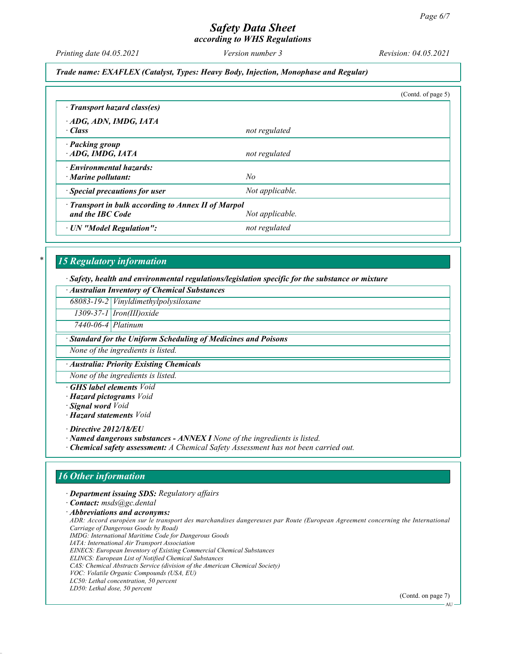according to WHS Regulations

Printing date 04.05.2021 Version number 3 Revision: 04.05.2021

#### Trade name: EXAFLEX (Catalyst, Types: Heavy Body, Injection, Monophase and Regular)

|                                                                                            |                 | (Contd. of page 5) |  |
|--------------------------------------------------------------------------------------------|-----------------|--------------------|--|
| · Transport hazard class(es)                                                               |                 |                    |  |
| ADG, ADN, IMDG, IATA<br>· Class                                                            | not regulated   |                    |  |
| · Packing group<br>ADG, IMDG, IATA                                                         | not regulated   |                    |  |
| · Environmental hazards:<br>$\cdot$ Marine pollutant:                                      | No              |                    |  |
| · Special precautions for user                                                             | Not applicable. |                    |  |
| · Transport in bulk according to Annex II of Marpol<br>and the IBC Code<br>Not applicable. |                 |                    |  |
| · UN "Model Regulation":                                                                   | not regulated   |                    |  |

# 15 Regulatory information

· Safety, health and environmental regulations/legislation specific for the substance or mixture

|  |  | · Australian Inventory of Chemical Substances |
|--|--|-----------------------------------------------|
|  |  |                                               |

68083-19-2 Vinyldimethylpolysiloxane

1309-37-1 Iron(III)oxide

7440-06-4 Platinum

· Standard for the Uniform Scheduling of Medicines and Poisons

None of the ingredients is listed.

· Australia: Priority Existing Chemicals

None of the ingredients is listed.

**GHS** label elements Void

· Hazard pictograms Void

· Signal word Void

· Hazard statements Void

· Directive 2012/18/EU

· Named dangerous substances - ANNEX I None of the ingredients is listed.

· Chemical safety assessment: A Chemical Safety Assessment has not been carried out.

#### 16 Other information

· Department issuing SDS: Regulatory affairs

· Contact: msds@gc.dental

· Abbreviations and acronyms:

ADR: Accord européen sur le transport des marchandises dangereuses par Route (European Agreement concerning the International Carriage of Dangerous Goods by Road) IMDG: International Maritime Code for Dangerous Goods IATA: International Air Transport Association EINECS: European Inventory of Existing Commercial Chemical Substances

ELINCS: European List of Notified Chemical Substances

CAS: Chemical Abstracts Service (division of the American Chemical Society)

LC50: Lethal concentration, 50 percent LD50: Lethal dose, 50 percent

(Contd. on page 7)

VOC: Volatile Organic Compounds (USA, EU)

AU